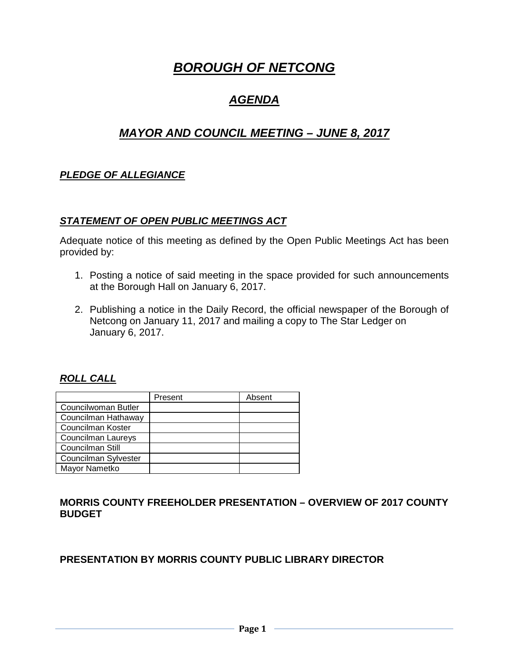# *BOROUGH OF NETCONG*

# *AGENDA*

# *MAYOR AND COUNCIL MEETING – JUNE 8, 2017*

## *PLEDGE OF ALLEGIANCE*

#### *STATEMENT OF OPEN PUBLIC MEETINGS ACT*

Adequate notice of this meeting as defined by the Open Public Meetings Act has been provided by:

- 1. Posting a notice of said meeting in the space provided for such announcements at the Borough Hall on January 6, 2017.
- 2. Publishing a notice in the Daily Record, the official newspaper of the Borough of Netcong on January 11, 2017 and mailing a copy to The Star Ledger on January 6, 2017.

#### *ROLL CALL*

|                      | Present | Absent |
|----------------------|---------|--------|
| Councilwoman Butler  |         |        |
| Councilman Hathaway  |         |        |
| Councilman Koster    |         |        |
| Councilman Laureys   |         |        |
| Councilman Still     |         |        |
| Councilman Sylvester |         |        |
| Mayor Nametko        |         |        |

#### **MORRIS COUNTY FREEHOLDER PRESENTATION – OVERVIEW OF 2017 COUNTY BUDGET**

#### **PRESENTATION BY MORRIS COUNTY PUBLIC LIBRARY DIRECTOR**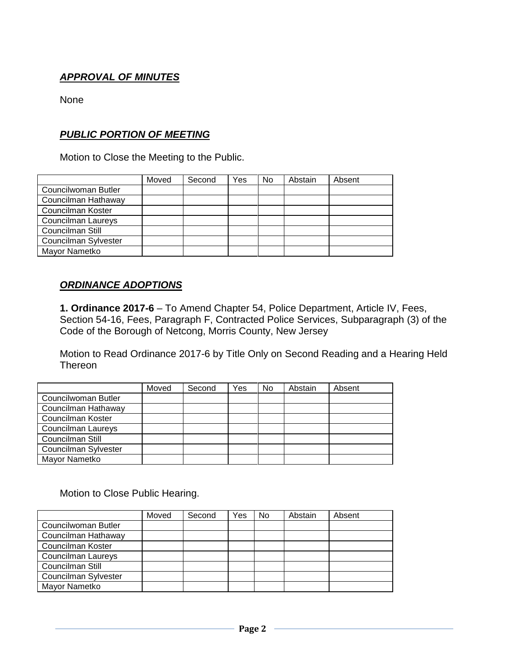# *APPROVAL OF MINUTES*

None

## *PUBLIC PORTION OF MEETING*

Motion to Close the Meeting to the Public.

|                           | Moved | Second | Yes | No | Abstain | Absent |
|---------------------------|-------|--------|-----|----|---------|--------|
| Councilwoman Butler       |       |        |     |    |         |        |
| Councilman Hathaway       |       |        |     |    |         |        |
| Councilman Koster         |       |        |     |    |         |        |
| <b>Councilman Laureys</b> |       |        |     |    |         |        |
| Councilman Still          |       |        |     |    |         |        |
| Councilman Sylvester      |       |        |     |    |         |        |
| Mayor Nametko             |       |        |     |    |         |        |

#### *ORDINANCE ADOPTIONS*

**1. Ordinance 2017-6** – To Amend Chapter 54, Police Department, Article IV, Fees, Section 54-16, Fees, Paragraph F, Contracted Police Services, Subparagraph (3) of the Code of the Borough of Netcong, Morris County, New Jersey

Motion to Read Ordinance 2017-6 by Title Only on Second Reading and a Hearing Held **Thereon** 

|                      | Moved | Second | Yes | <b>No</b> | Abstain | Absent |
|----------------------|-------|--------|-----|-----------|---------|--------|
| Councilwoman Butler  |       |        |     |           |         |        |
| Councilman Hathaway  |       |        |     |           |         |        |
| Councilman Koster    |       |        |     |           |         |        |
| Councilman Laureys   |       |        |     |           |         |        |
| Councilman Still     |       |        |     |           |         |        |
| Councilman Sylvester |       |        |     |           |         |        |
| Mayor Nametko        |       |        |     |           |         |        |

Motion to Close Public Hearing.

|                      | Moved | Second | Yes | No | Abstain | Absent |
|----------------------|-------|--------|-----|----|---------|--------|
| Councilwoman Butler  |       |        |     |    |         |        |
| Councilman Hathaway  |       |        |     |    |         |        |
| Councilman Koster    |       |        |     |    |         |        |
| Councilman Laureys   |       |        |     |    |         |        |
| Councilman Still     |       |        |     |    |         |        |
| Councilman Sylvester |       |        |     |    |         |        |
| Mayor Nametko        |       |        |     |    |         |        |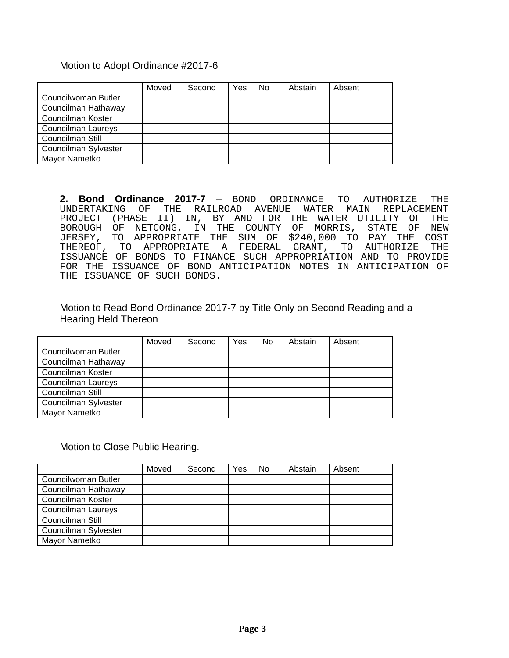#### Motion to Adopt Ordinance #2017-6

|                           | Moved | Second | Yes | No | Abstain | Absent |
|---------------------------|-------|--------|-----|----|---------|--------|
| Councilwoman Butler       |       |        |     |    |         |        |
| Councilman Hathaway       |       |        |     |    |         |        |
| Councilman Koster         |       |        |     |    |         |        |
| <b>Councilman Laureys</b> |       |        |     |    |         |        |
| Councilman Still          |       |        |     |    |         |        |
| Councilman Sylvester      |       |        |     |    |         |        |
| Mayor Nametko             |       |        |     |    |         |        |

**2. Bond Ordinance 2017-7** - BOND ORDINANCE TO AUTHORIZE THE UNDERTAKING OF THE RAILROAD AVENUE WATER MAIN REPLACEMENT THE RAILROAD AVENUE WATER MAIN REPLACEMENT<br>II) IN, BY AND FOR THE WATER UTILITY OF THE PROJECT (PHASE II) IN, BY AND FOR THE WATER UTILITY OF THE BOROUGH OF NETCONG, IN THE COUNTY OF MORRIS, STATE OF NEW JERSEY, TO APPROPRIATE THE SUM OF \$240,000 TO PAY THE COST THEREOF, TO APPROPRIATE A FEDERAL ISSUANCE OF BONDS TO FINANCE SUCH APPROPRIATION AND TO PROVIDE FOR THE ISSUANCE OF BOND ANTICIPATION NOTES IN ANTICIPATION OF THE ISSUANCE OF SUCH BONDS.

Motion to Read Bond Ordinance 2017-7 by Title Only on Second Reading and a Hearing Held Thereon

|                      | Moved | Second | Yes | No | Abstain | Absent |
|----------------------|-------|--------|-----|----|---------|--------|
| Councilwoman Butler  |       |        |     |    |         |        |
| Councilman Hathaway  |       |        |     |    |         |        |
| Councilman Koster    |       |        |     |    |         |        |
| Councilman Laureys   |       |        |     |    |         |        |
| Councilman Still     |       |        |     |    |         |        |
| Councilman Sylvester |       |        |     |    |         |        |
| Mayor Nametko        |       |        |     |    |         |        |

#### Motion to Close Public Hearing.

|                           | Moved | Second | Yes | <b>No</b> | Abstain | Absent |
|---------------------------|-------|--------|-----|-----------|---------|--------|
| Councilwoman Butler       |       |        |     |           |         |        |
| Councilman Hathaway       |       |        |     |           |         |        |
| Councilman Koster         |       |        |     |           |         |        |
| <b>Councilman Laureys</b> |       |        |     |           |         |        |
| Councilman Still          |       |        |     |           |         |        |
| Councilman Sylvester      |       |        |     |           |         |        |
| Mayor Nametko             |       |        |     |           |         |        |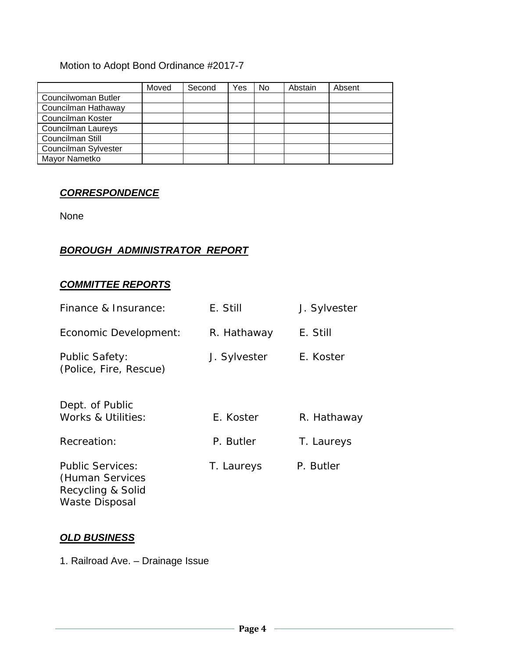# Motion to Adopt Bond Ordinance #2017-7

|                           | Moved | Second | Yes | No | Abstain | Absent |
|---------------------------|-------|--------|-----|----|---------|--------|
| Councilwoman Butler       |       |        |     |    |         |        |
| Councilman Hathaway       |       |        |     |    |         |        |
| Councilman Koster         |       |        |     |    |         |        |
| <b>Councilman Laureys</b> |       |        |     |    |         |        |
| Councilman Still          |       |        |     |    |         |        |
| Councilman Sylvester      |       |        |     |    |         |        |
| Mayor Nametko             |       |        |     |    |         |        |

## *CORRESPONDENCE*

None

# *BOROUGH ADMINISTRATOR REPORT*

### *COMMITTEE REPORTS*

| Finance & Insurance:                                                                     | E. Still     | J. Sylvester |
|------------------------------------------------------------------------------------------|--------------|--------------|
| Economic Development:                                                                    | R. Hathaway  | E. Still     |
| <b>Public Safety:</b><br>(Police, Fire, Rescue)                                          | J. Sylvester | E. Koster    |
| Dept. of Public<br>Works & Utilities:                                                    | E. Koster    | R. Hathaway  |
| Recreation:                                                                              | P. Butler    | T. Laureys   |
| <b>Public Services:</b><br>(Human Services<br>Recycling & Solid<br><b>Waste Disposal</b> | T. Laureys   | P. Butler    |

#### *OLD BUSINESS*

1. Railroad Ave. – Drainage Issue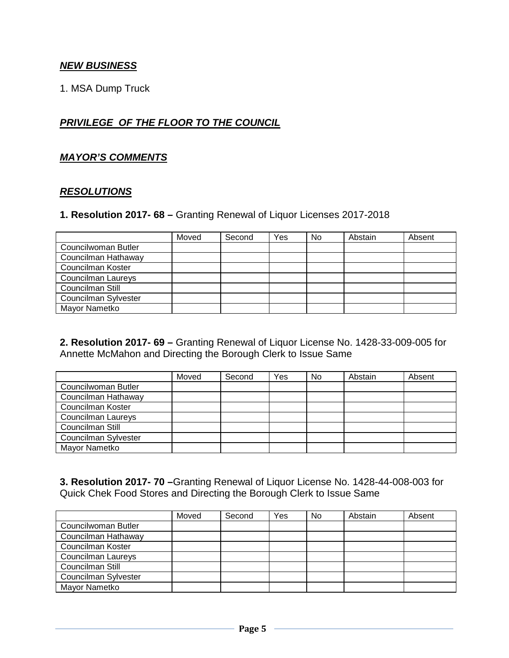## *NEW BUSINESS*

1. MSA Dump Truck

# *PRIVILEGE OF THE FLOOR TO THE COUNCIL*

#### *MAYOR'S COMMENTS*

#### *RESOLUTIONS*

#### **1. Resolution 2017- 68 –** Granting Renewal of Liquor Licenses 2017-2018

|                      | Moved | Second | Yes | <b>No</b> | Abstain | Absent |
|----------------------|-------|--------|-----|-----------|---------|--------|
| Councilwoman Butler  |       |        |     |           |         |        |
| Councilman Hathaway  |       |        |     |           |         |        |
| Councilman Koster    |       |        |     |           |         |        |
| Councilman Laureys   |       |        |     |           |         |        |
| Councilman Still     |       |        |     |           |         |        |
| Councilman Sylvester |       |        |     |           |         |        |
| Mayor Nametko        |       |        |     |           |         |        |

**2. Resolution 2017- 69 –** Granting Renewal of Liquor License No. 1428-33-009-005 for Annette McMahon and Directing the Borough Clerk to Issue Same

|                      | Moved | Second | Yes | <b>No</b> | Abstain | Absent |
|----------------------|-------|--------|-----|-----------|---------|--------|
| Councilwoman Butler  |       |        |     |           |         |        |
| Councilman Hathaway  |       |        |     |           |         |        |
| Councilman Koster    |       |        |     |           |         |        |
| Councilman Laureys   |       |        |     |           |         |        |
| Councilman Still     |       |        |     |           |         |        |
| Councilman Sylvester |       |        |     |           |         |        |
| Mayor Nametko        |       |        |     |           |         |        |

**3. Resolution 2017- 70 –**Granting Renewal of Liquor License No. 1428-44-008-003 for Quick Chek Food Stores and Directing the Borough Clerk to Issue Same

|                      | Moved | Second | Yes | No. | Abstain | Absent |
|----------------------|-------|--------|-----|-----|---------|--------|
| Councilwoman Butler  |       |        |     |     |         |        |
| Councilman Hathaway  |       |        |     |     |         |        |
| Councilman Koster    |       |        |     |     |         |        |
| Councilman Laureys   |       |        |     |     |         |        |
| Councilman Still     |       |        |     |     |         |        |
| Councilman Sylvester |       |        |     |     |         |        |
| Mayor Nametko        |       |        |     |     |         |        |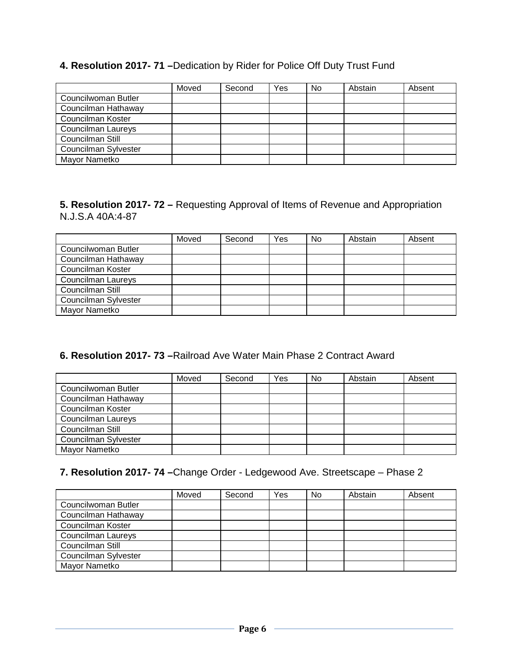#### **4. Resolution 2017- 71 –**Dedication by Rider for Police Off Duty Trust Fund

|                           | Moved | Second | Yes | <b>No</b> | Abstain | Absent |
|---------------------------|-------|--------|-----|-----------|---------|--------|
| Councilwoman Butler       |       |        |     |           |         |        |
| Councilman Hathaway       |       |        |     |           |         |        |
| Councilman Koster         |       |        |     |           |         |        |
| <b>Councilman Laureys</b> |       |        |     |           |         |        |
| Councilman Still          |       |        |     |           |         |        |
| Councilman Sylvester      |       |        |     |           |         |        |
| Mayor Nametko             |       |        |     |           |         |        |

#### **5. Resolution 2017- 72 –** Requesting Approval of Items of Revenue and Appropriation N.J.S.A 40A:4-87

|                      | Moved | Second | Yes | <b>No</b> | Abstain | Absent |
|----------------------|-------|--------|-----|-----------|---------|--------|
| Councilwoman Butler  |       |        |     |           |         |        |
| Councilman Hathaway  |       |        |     |           |         |        |
| Councilman Koster    |       |        |     |           |         |        |
| Councilman Laureys   |       |        |     |           |         |        |
| Councilman Still     |       |        |     |           |         |        |
| Councilman Sylvester |       |        |     |           |         |        |
| Mayor Nametko        |       |        |     |           |         |        |

# **6. Resolution 2017- 73 –**Railroad Ave Water Main Phase 2 Contract Award

|                           | Moved | Second | Yes | <b>No</b> | Abstain | Absent |
|---------------------------|-------|--------|-----|-----------|---------|--------|
| Councilwoman Butler       |       |        |     |           |         |        |
| Councilman Hathaway       |       |        |     |           |         |        |
| Councilman Koster         |       |        |     |           |         |        |
| <b>Councilman Laureys</b> |       |        |     |           |         |        |
| Councilman Still          |       |        |     |           |         |        |
| Councilman Sylvester      |       |        |     |           |         |        |
| Mayor Nametko             |       |        |     |           |         |        |

# **7. Resolution 2017- 74 –**Change Order - Ledgewood Ave. Streetscape – Phase 2

|                      | Moved | Second | Yes | No. | Abstain | Absent |
|----------------------|-------|--------|-----|-----|---------|--------|
| Councilwoman Butler  |       |        |     |     |         |        |
| Councilman Hathaway  |       |        |     |     |         |        |
| Councilman Koster    |       |        |     |     |         |        |
| Councilman Laureys   |       |        |     |     |         |        |
| Councilman Still     |       |        |     |     |         |        |
| Councilman Sylvester |       |        |     |     |         |        |
| Mayor Nametko        |       |        |     |     |         |        |